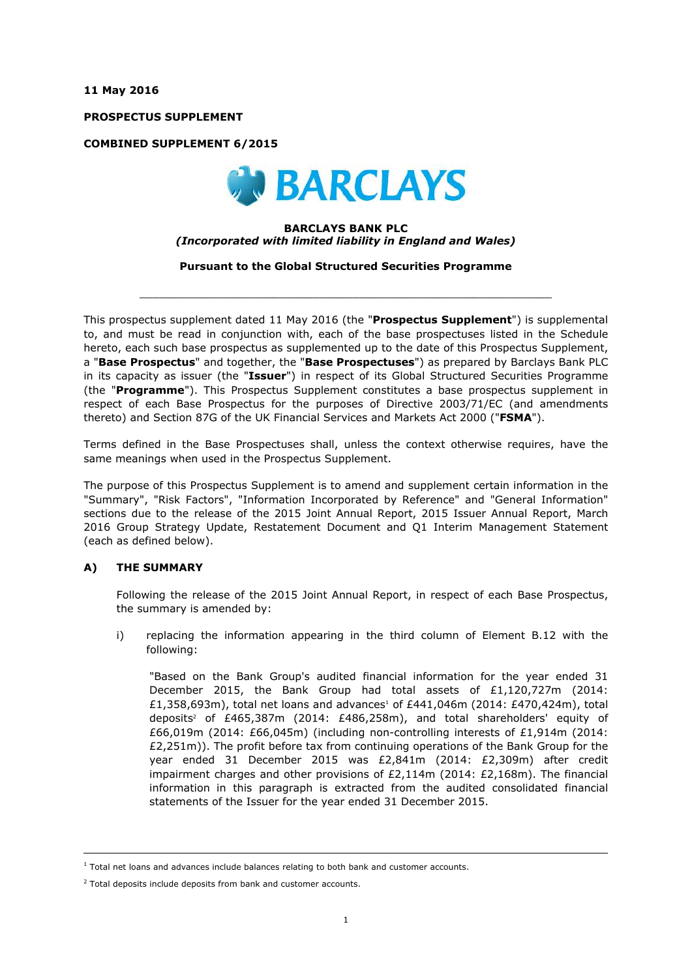**11 May 2016**

**PROSPECTUS SUPPLEMENT**

**COMBINED SUPPLEMENT 6/2015**



#### **BARCLAYS BANK PLC** *(Incorporated with limited liability in England and Wales)*

**Pursuant to the Global Structured Securities Programme**

 $\_$  ,  $\_$  ,  $\_$  ,  $\_$  ,  $\_$  ,  $\_$  ,  $\_$  ,  $\_$  ,  $\_$  ,  $\_$  ,  $\_$  ,  $\_$  ,  $\_$  ,  $\_$  ,  $\_$  ,  $\_$  ,  $\_$  ,  $\_$  ,  $\_$  ,  $\_$  ,  $\_$  ,  $\_$  ,  $\_$  ,  $\_$  ,  $\_$  ,  $\_$  ,  $\_$  ,  $\_$  ,  $\_$  ,  $\_$  ,  $\_$  ,  $\_$  ,  $\_$  ,  $\_$  ,  $\_$  ,  $\_$  ,  $\_$  ,

This prospectus supplement dated 11 May 2016 (the "**Prospectus Supplement**") is supplemental to, and must be read in conjunction with, each of the base prospectuses listed in the Schedule hereto, each such base prospectus as supplemented up to the date of this Prospectus Supplement, a "**Base Prospectus**" and together, the "**Base Prospectuses**") as prepared by Barclays Bank PLC in its capacity as issuer (the "**Issuer**") in respect of its Global Structured Securities Programme (the "**Programme**"). This Prospectus Supplement constitutes a base prospectus supplement in respect of each Base Prospectus for the purposes of Directive 2003/71/EC (and amendments thereto) and Section 87G of the UK Financial Services and Markets Act 2000 ("**FSMA**").

Terms defined in the Base Prospectuses shall, unless the context otherwise requires, have the same meanings when used in the Prospectus Supplement.

The purpose of this Prospectus Supplement is to amend and supplement certain information in the "Summary", "Risk Factors", "Information Incorporated by Reference" and "General Information" sections due to the release of the 2015 Joint Annual Report, 2015 Issuer Annual Report, March 2016 Group Strategy Update, Restatement Document and Q1 Interim Management Statement (each as defined below).

## **A) THE SUMMARY**

i,

Following the release of the 2015 Joint Annual Report, in respect of each Base Prospectus, the summary is amended by:

i) replacing the information appearing in the third column of Element B.12 with the following:

"Based on the Bank Group's audited financial information for the year ended 31 December 2015, the Bank Group had total assets of £1,120,727m (2014: £1,358,693m), total net loans and advances<sup>1</sup> of £441,046m (2014: £470,424m), total deposits<sup>2</sup> of £465,387m (2014: £486,258m), and total shareholders' equity of £66,019m (2014: £66,045m) (including non-controlling interests of £1,914m (2014:  $£2,251m$ )). The profit before tax from continuing operations of the Bank Group for the year ended 31 December 2015 was £2,841m (2014: £2,309m) after credit impairment charges and other provisions of £2,114m (2014: £2,168m). The financial information in this paragraph is extracted from the audited consolidated financial statements of the Issuer for the year ended 31 December 2015.

 $<sup>1</sup>$  Total net loans and advances include balances relating to both bank and customer accounts.</sup>

 $2$  Total deposits include deposits from bank and customer accounts.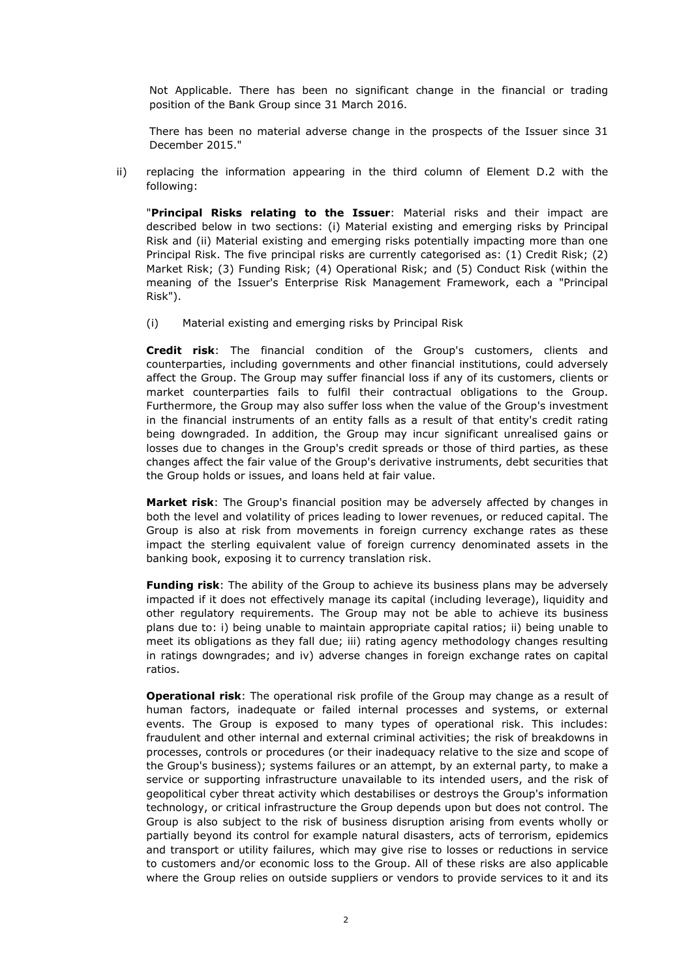Not Applicable. There has been no significant change in the financial or trading position of the Bank Group since 31 March 2016.

There has been no material adverse change in the prospects of the Issuer since 31 December 2015."

ii) replacing the information appearing in the third column of Element D.2 with the following:

"**Principal Risks relating to the Issuer**: Material risks and their impact are described below in two sections: (i) Material existing and emerging risks by Principal Risk and (ii) Material existing and emerging risks potentially impacting more than one Principal Risk. The five principal risks are currently categorised as: (1) Credit Risk; (2) Market Risk; (3) Funding Risk; (4) Operational Risk; and (5) Conduct Risk (within the meaning of the Issuer's Enterprise Risk Management Framework, each a "Principal Risk").

(i) Material existing and emerging risks by Principal Risk

**Credit risk**: The financial condition of the Group's customers, clients and counterparties, including governments and other financial institutions, could adversely affect the Group. The Group may suffer financial loss if any of its customers, clients or market counterparties fails to fulfil their contractual obligations to the Group. Furthermore, the Group may also suffer loss when the value of the Group's investment in the financial instruments of an entity falls as a result of that entity's credit rating being downgraded. In addition, the Group may incur significant unrealised gains or losses due to changes in the Group's credit spreads or those of third parties, as these changes affect the fair value of the Group's derivative instruments, debt securities that the Group holds or issues, and loans held at fair value.

**Market risk**: The Group's financial position may be adversely affected by changes in both the level and volatility of prices leading to lower revenues, or reduced capital. The Group is also at risk from movements in foreign currency exchange rates as these impact the sterling equivalent value of foreign currency denominated assets in the banking book, exposing it to currency translation risk.

**Funding risk**: The ability of the Group to achieve its business plans may be adversely impacted if it does not effectively manage its capital (including leverage), liquidity and other regulatory requirements. The Group may not be able to achieve its business plans due to: i) being unable to maintain appropriate capital ratios; ii) being unable to meet its obligations as they fall due; iii) rating agency methodology changes resulting in ratings downgrades; and iv) adverse changes in foreign exchange rates on capital ratios.

**Operational risk**: The operational risk profile of the Group may change as a result of human factors, inadequate or failed internal processes and systems, or external events. The Group is exposed to many types of operational risk. This includes: fraudulent and other internal and external criminal activities; the risk of breakdowns in processes, controls or procedures (or their inadequacy relative to the size and scope of the Group's business); systems failures or an attempt, by an external party, to make a service or supporting infrastructure unavailable to its intended users, and the risk of geopolitical cyber threat activity which destabilises or destroys the Group's information technology, or critical infrastructure the Group depends upon but does not control. The Group is also subject to the risk of business disruption arising from events wholly or partially beyond its control for example natural disasters, acts of terrorism, epidemics and transport or utility failures, which may give rise to losses or reductions in service to customers and/or economic loss to the Group. All of these risks are also applicable where the Group relies on outside suppliers or vendors to provide services to it and its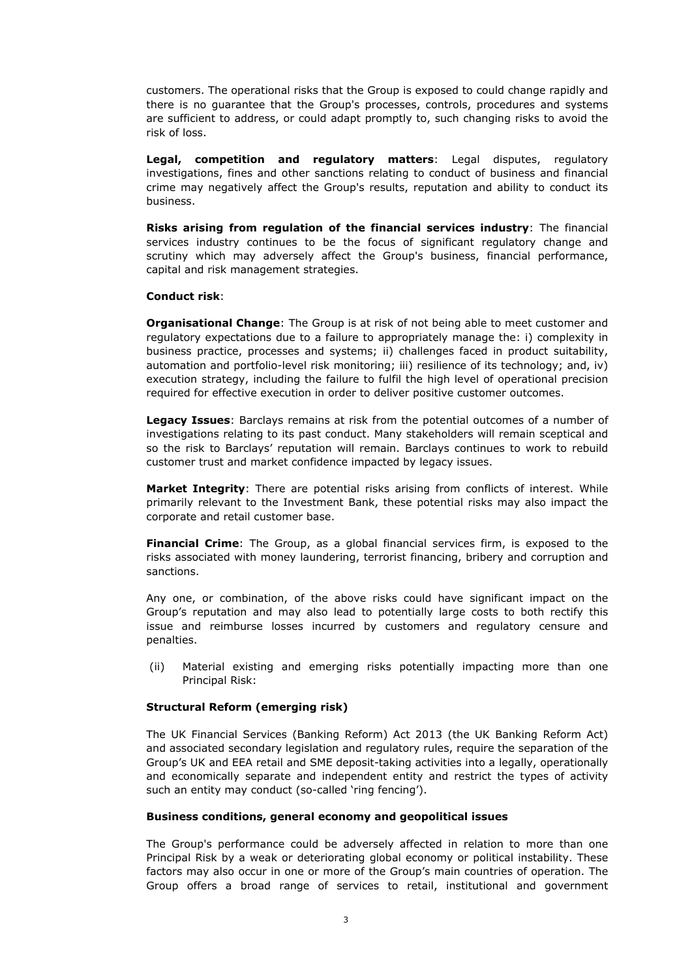customers. The operational risks that the Group is exposed to could change rapidly and there is no guarantee that the Group's processes, controls, procedures and systems are sufficient to address, or could adapt promptly to, such changing risks to avoid the risk of loss.

**Legal, competition and regulatory matters**: Legal disputes, regulatory investigations, fines and other sanctions relating to conduct of business and financial crime may negatively affect the Group's results, reputation and ability to conduct its business.

**Risks arising from regulation of the financial services industry**: The financial services industry continues to be the focus of significant regulatory change and scrutiny which may adversely affect the Group's business, financial performance, capital and risk management strategies.

#### **Conduct risk**:

**Organisational Change**: The Group is at risk of not being able to meet customer and regulatory expectations due to a failure to appropriately manage the: i) complexity in business practice, processes and systems; ii) challenges faced in product suitability, automation and portfolio-level risk monitoring; iii) resilience of its technology; and, iv) execution strategy, including the failure to fulfil the high level of operational precision required for effective execution in order to deliver positive customer outcomes.

**Legacy Issues**: Barclays remains at risk from the potential outcomes of a number of investigations relating to its past conduct. Many stakeholders will remain sceptical and so the risk to Barclays' reputation will remain. Barclays continues to work to rebuild customer trust and market confidence impacted by legacy issues.

**Market Integrity**: There are potential risks arising from conflicts of interest. While primarily relevant to the Investment Bank, these potential risks may also impact the corporate and retail customer base.

**Financial Crime**: The Group, as a global financial services firm, is exposed to the risks associated with money laundering, terrorist financing, bribery and corruption and sanctions.

Any one, or combination, of the above risks could have significant impact on the Group's reputation and may also lead to potentially large costs to both rectify this issue and reimburse losses incurred by customers and regulatory censure and penalties.

(ii) Material existing and emerging risks potentially impacting more than one Principal Risk:

## **Structural Reform (emerging risk)**

The UK Financial Services (Banking Reform) Act 2013 (the UK Banking Reform Act) and associated secondary legislation and regulatory rules, require the separation of the Group's UK and EEA retail and SME deposit-taking activities into a legally, operationally and economically separate and independent entity and restrict the types of activity such an entity may conduct (so-called 'ring fencing').

#### **Business conditions, general economy and geopolitical issues**

The Group's performance could be adversely affected in relation to more than one Principal Risk by a weak or deteriorating global economy or political instability. These factors may also occur in one or more of the Group's main countries of operation. The Group offers a broad range of services to retail, institutional and government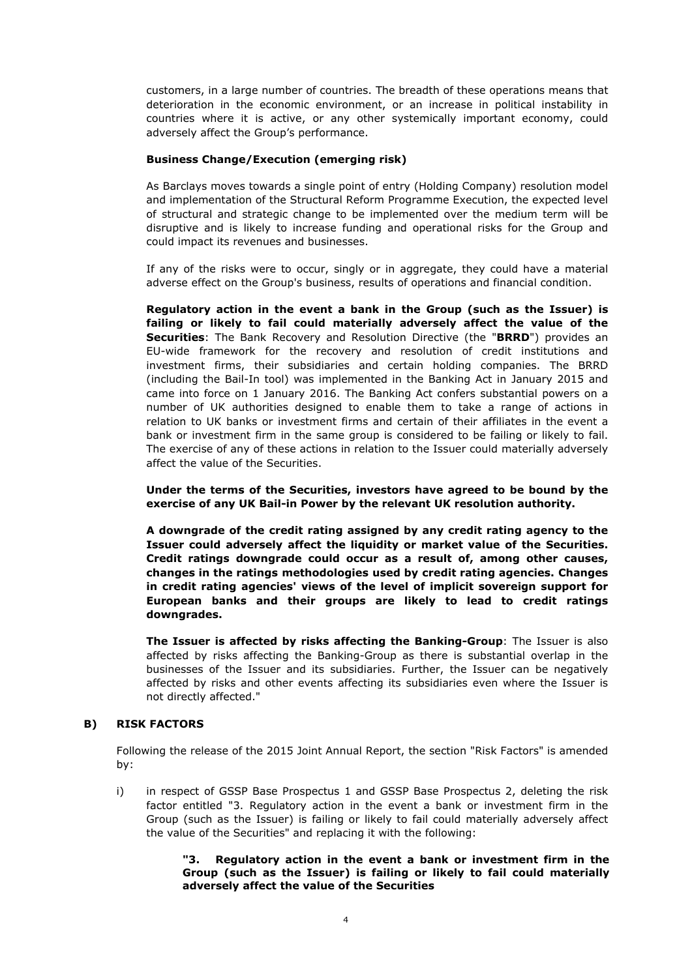customers, in a large number of countries. The breadth of these operations means that deterioration in the economic environment, or an increase in political instability in countries where it is active, or any other systemically important economy, could adversely affect the Group's performance.

## **Business Change/Execution (emerging risk)**

As Barclays moves towards a single point of entry (Holding Company) resolution model and implementation of the Structural Reform Programme Execution, the expected level of structural and strategic change to be implemented over the medium term will be disruptive and is likely to increase funding and operational risks for the Group and could impact its revenues and businesses.

If any of the risks were to occur, singly or in aggregate, they could have a material adverse effect on the Group's business, results of operations and financial condition.

**Regulatory action in the event a bank in the Group (such as the Issuer) is failing or likely to fail could materially adversely affect the value of the Securities**: The Bank Recovery and Resolution Directive (the "**BRRD**") provides an EU-wide framework for the recovery and resolution of credit institutions and investment firms, their subsidiaries and certain holding companies. The BRRD (including the Bail-In tool) was implemented in the Banking Act in January 2015 and came into force on 1 January 2016. The Banking Act confers substantial powers on a number of UK authorities designed to enable them to take a range of actions in relation to UK banks or investment firms and certain of their affiliates in the event a bank or investment firm in the same group is considered to be failing or likely to fail. The exercise of any of these actions in relation to the Issuer could materially adversely affect the value of the Securities.

**Under the terms of the Securities, investors have agreed to be bound by the exercise of any UK Bail-in Power by the relevant UK resolution authority.**

**A downgrade of the credit rating assigned by any credit rating agency to the Issuer could adversely affect the liquidity or market value of the Securities. Credit ratings downgrade could occur as a result of, among other causes, changes in the ratings methodologies used by credit rating agencies. Changes in credit rating agencies' views of the level of implicit sovereign support for European banks and their groups are likely to lead to credit ratings downgrades.**

**The Issuer is affected by risks affecting the Banking-Group**: The Issuer is also affected by risks affecting the Banking-Group as there is substantial overlap in the businesses of the Issuer and its subsidiaries. Further, the Issuer can be negatively affected by risks and other events affecting its subsidiaries even where the Issuer is not directly affected."

## **B) RISK FACTORS**

Following the release of the 2015 Joint Annual Report, the section "Risk Factors" is amended by:

i) in respect of GSSP Base Prospectus 1 and GSSP Base Prospectus 2, deleting the risk factor entitled "3. Regulatory action in the event a bank or investment firm in the Group (such as the Issuer) is failing or likely to fail could materially adversely affect the value of the Securities" and replacing it with the following:

## **"3. Regulatory action in the event a bank or investment firm in the Group (such as the Issuer) is failing or likely to fail could materially adversely affect the value of the Securities**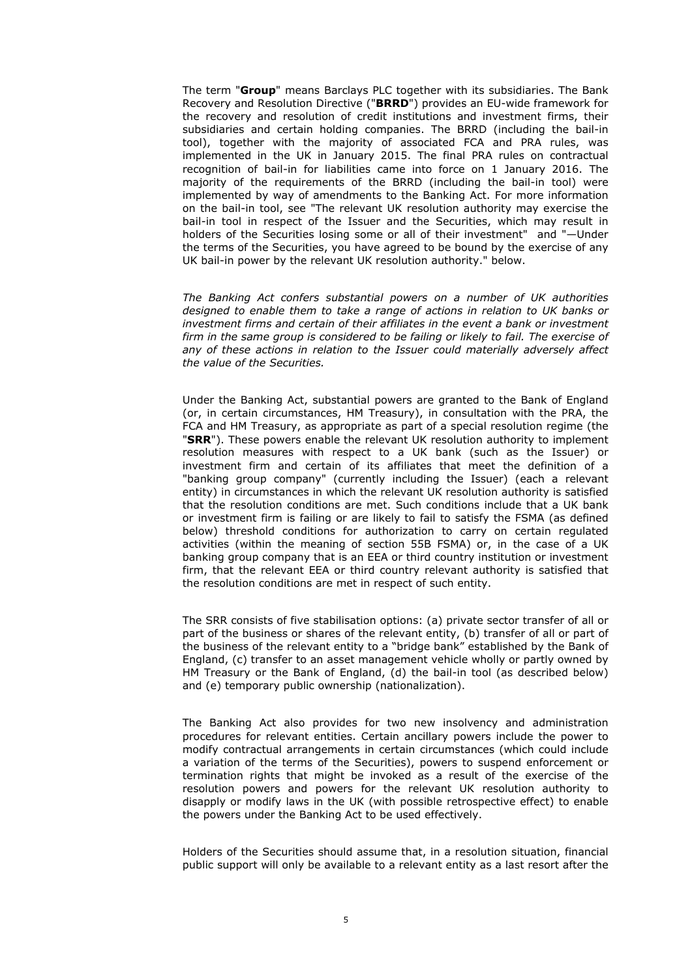The term "**Group**" means Barclays PLC together with its subsidiaries. The Bank Recovery and Resolution Directive ("**BRRD**") provides an EU-wide framework for the recovery and resolution of credit institutions and investment firms, their subsidiaries and certain holding companies. The BRRD (including the bail-in tool), together with the majority of associated FCA and PRA rules, was implemented in the UK in January 2015. The final PRA rules on contractual recognition of bail-in for liabilities came into force on 1 January 2016. The majority of the requirements of the BRRD (including the bail-in tool) were implemented by way of amendments to the Banking Act. For more information on the bail-in tool, see "The relevant UK resolution authority may exercise the bail-in tool in respect of the Issuer and the Securities, which may result in holders of the Securities losing some or all of their investment" and "—Under the terms of the Securities, you have agreed to be bound by the exercise of any UK bail-in power by the relevant UK resolution authority." below.

*The Banking Act confers substantial powers on a number of UK authorities designed to enable them to take a range of actions in relation to UK banks or investment firms and certain of their affiliates in the event a bank or investment firm in the same group is considered to be failing or likely to fail. The exercise of*  any of these actions in relation to the Issuer could materially adversely affect *the value of the Securities.*

Under the Banking Act, substantial powers are granted to the Bank of England (or, in certain circumstances, HM Treasury), in consultation with the PRA, the FCA and HM Treasury, as appropriate as part of a special resolution regime (the "**SRR**"). These powers enable the relevant UK resolution authority to implement resolution measures with respect to a UK bank (such as the Issuer) or investment firm and certain of its affiliates that meet the definition of a "banking group company" (currently including the Issuer) (each a relevant entity) in circumstances in which the relevant UK resolution authority is satisfied that the resolution conditions are met. Such conditions include that a UK bank or investment firm is failing or are likely to fail to satisfy the FSMA (as defined below) threshold conditions for authorization to carry on certain regulated activities (within the meaning of section 55B FSMA) or, in the case of a UK banking group company that is an EEA or third country institution or investment firm, that the relevant EEA or third country relevant authority is satisfied that the resolution conditions are met in respect of such entity.

The SRR consists of five stabilisation options: (a) private sector transfer of all or part of the business or shares of the relevant entity, (b) transfer of all or part of the business of the relevant entity to a "bridge bank" established by the Bank of England, (c) transfer to an asset management vehicle wholly or partly owned by HM Treasury or the Bank of England, (d) the bail-in tool (as described below) and (e) temporary public ownership (nationalization).

The Banking Act also provides for two new insolvency and administration procedures for relevant entities. Certain ancillary powers include the power to modify contractual arrangements in certain circumstances (which could include a variation of the terms of the Securities), powers to suspend enforcement or termination rights that might be invoked as a result of the exercise of the resolution powers and powers for the relevant UK resolution authority to disapply or modify laws in the UK (with possible retrospective effect) to enable the powers under the Banking Act to be used effectively.

Holders of the Securities should assume that, in a resolution situation, financial public support will only be available to a relevant entity as a last resort after the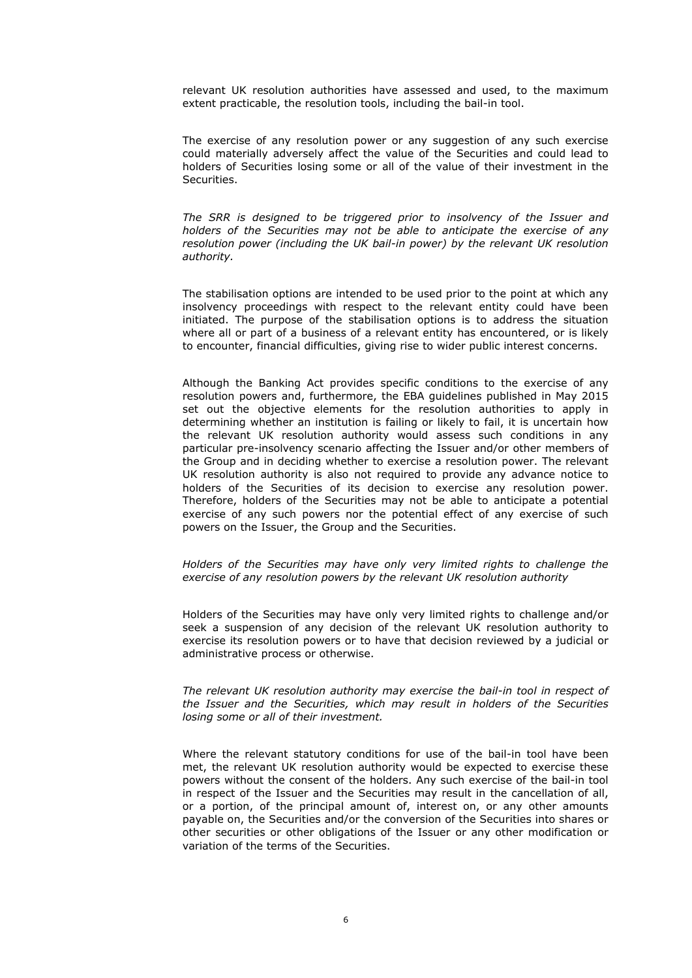relevant UK resolution authorities have assessed and used, to the maximum extent practicable, the resolution tools, including the bail-in tool.

The exercise of any resolution power or any suggestion of any such exercise could materially adversely affect the value of the Securities and could lead to holders of Securities losing some or all of the value of their investment in the Securities.

The SRR is designed to be triggered prior to insolvency of the Issuer and *holders of the Securities may not be able to anticipate the exercise of any resolution power (including the UK bail-in power) by the relevant UK resolution authority.*

The stabilisation options are intended to be used prior to the point at which any insolvency proceedings with respect to the relevant entity could have been initiated. The purpose of the stabilisation options is to address the situation where all or part of a business of a relevant entity has encountered, or is likely to encounter, financial difficulties, giving rise to wider public interest concerns.

Although the Banking Act provides specific conditions to the exercise of any resolution powers and, furthermore, the EBA guidelines published in May 2015 set out the objective elements for the resolution authorities to apply in determining whether an institution is failing or likely to fail, it is uncertain how the relevant UK resolution authority would assess such conditions in any particular pre-insolvency scenario affecting the Issuer and/or other members of the Group and in deciding whether to exercise a resolution power. The relevant UK resolution authority is also not required to provide any advance notice to holders of the Securities of its decision to exercise any resolution power. Therefore, holders of the Securities may not be able to anticipate a potential exercise of any such powers nor the potential effect of any exercise of such powers on the Issuer, the Group and the Securities.

*Holders of the Securities may have only very limited rights to challenge the exercise of any resolution powers by the relevant UK resolution authority* 

Holders of the Securities may have only very limited rights to challenge and/or seek a suspension of any decision of the relevant UK resolution authority to exercise its resolution powers or to have that decision reviewed by a judicial or administrative process or otherwise.

*The relevant UK resolution authority may exercise the bail-in tool in respect of the Issuer and the Securities, which may result in holders of the Securities losing some or all of their investment.*

Where the relevant statutory conditions for use of the bail-in tool have been met, the relevant UK resolution authority would be expected to exercise these powers without the consent of the holders. Any such exercise of the bail-in tool in respect of the Issuer and the Securities may result in the cancellation of all, or a portion, of the principal amount of, interest on, or any other amounts payable on, the Securities and/or the conversion of the Securities into shares or other securities or other obligations of the Issuer or any other modification or variation of the terms of the Securities.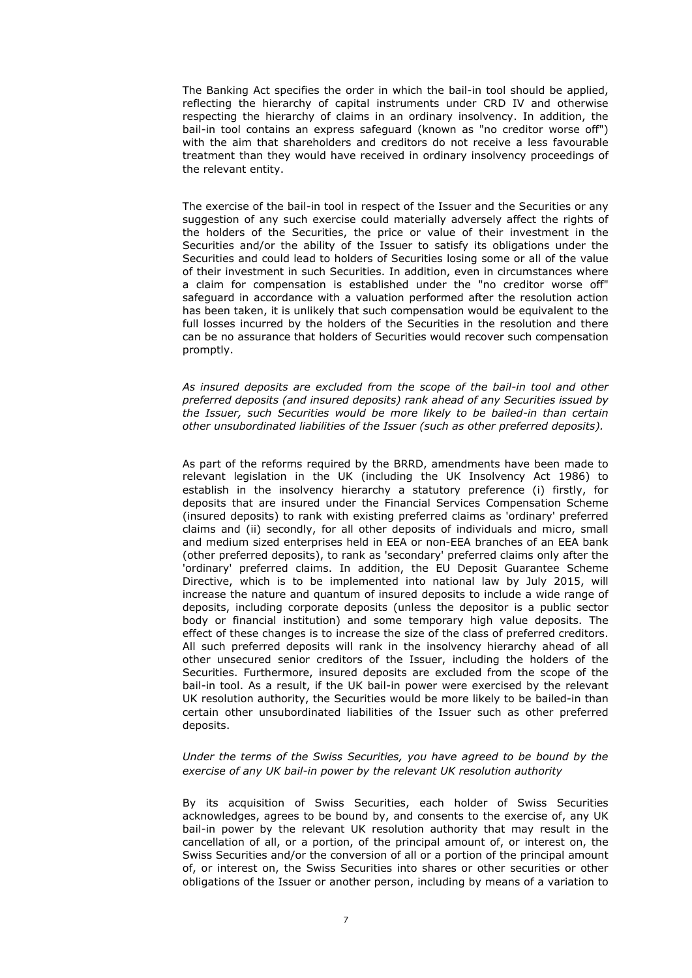The Banking Act specifies the order in which the bail-in tool should be applied, reflecting the hierarchy of capital instruments under CRD IV and otherwise respecting the hierarchy of claims in an ordinary insolvency. In addition, the bail-in tool contains an express safeguard (known as "no creditor worse off") with the aim that shareholders and creditors do not receive a less favourable treatment than they would have received in ordinary insolvency proceedings of the relevant entity.

The exercise of the bail-in tool in respect of the Issuer and the Securities or any suggestion of any such exercise could materially adversely affect the rights of the holders of the Securities, the price or value of their investment in the Securities and/or the ability of the Issuer to satisfy its obligations under the Securities and could lead to holders of Securities losing some or all of the value of their investment in such Securities. In addition, even in circumstances where a claim for compensation is established under the "no creditor worse off" safeguard in accordance with a valuation performed after the resolution action has been taken, it is unlikely that such compensation would be equivalent to the full losses incurred by the holders of the Securities in the resolution and there can be no assurance that holders of Securities would recover such compensation promptly.

*As insured deposits are excluded from the scope of the bail-in tool and other preferred deposits (and insured deposits) rank ahead of any Securities issued by the Issuer, such Securities would be more likely to be bailed-in than certain other unsubordinated liabilities of the Issuer (such as other preferred deposits).*

As part of the reforms required by the BRRD, amendments have been made to relevant legislation in the UK (including the UK Insolvency Act 1986) to establish in the insolvency hierarchy a statutory preference (i) firstly, for deposits that are insured under the Financial Services Compensation Scheme (insured deposits) to rank with existing preferred claims as 'ordinary' preferred claims and (ii) secondly, for all other deposits of individuals and micro, small and medium sized enterprises held in EEA or non-EEA branches of an EEA bank (other preferred deposits), to rank as 'secondary' preferred claims only after the 'ordinary' preferred claims. In addition, the EU Deposit Guarantee Scheme Directive, which is to be implemented into national law by July 2015, will increase the nature and quantum of insured deposits to include a wide range of deposits, including corporate deposits (unless the depositor is a public sector body or financial institution) and some temporary high value deposits. The effect of these changes is to increase the size of the class of preferred creditors. All such preferred deposits will rank in the insolvency hierarchy ahead of all other unsecured senior creditors of the Issuer, including the holders of the Securities. Furthermore, insured deposits are excluded from the scope of the bail-in tool. As a result, if the UK bail-in power were exercised by the relevant UK resolution authority, the Securities would be more likely to be bailed-in than certain other unsubordinated liabilities of the Issuer such as other preferred deposits.

#### *Under the terms of the Swiss Securities, you have agreed to be bound by the exercise of any UK bail-in power by the relevant UK resolution authority*

By its acquisition of Swiss Securities, each holder of Swiss Securities acknowledges, agrees to be bound by, and consents to the exercise of, any UK bail-in power by the relevant UK resolution authority that may result in the cancellation of all, or a portion, of the principal amount of, or interest on, the Swiss Securities and/or the conversion of all or a portion of the principal amount of, or interest on, the Swiss Securities into shares or other securities or other obligations of the Issuer or another person, including by means of a variation to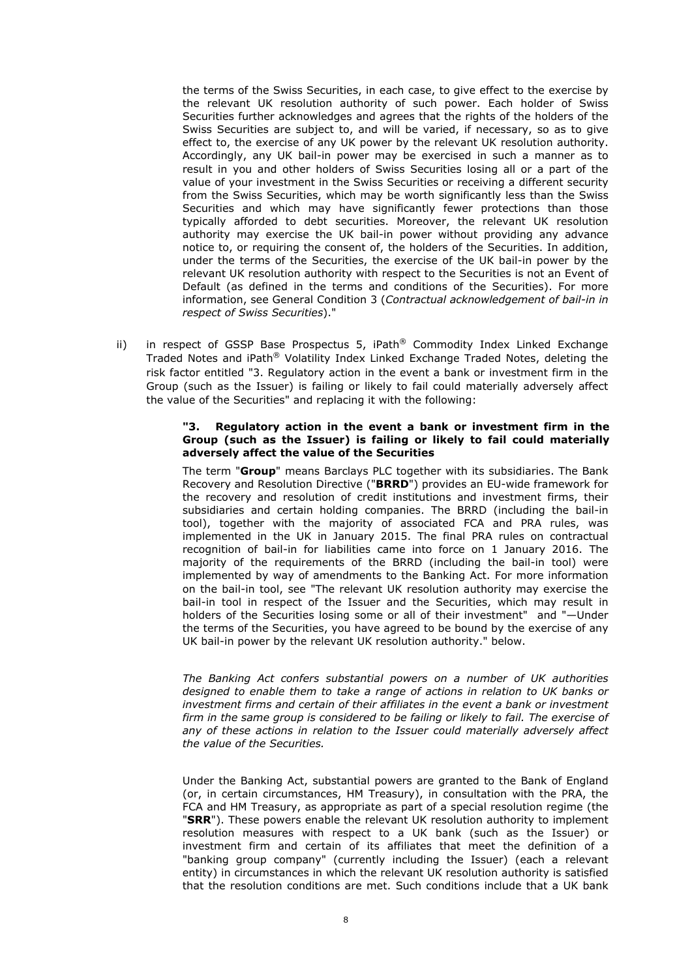the terms of the Swiss Securities, in each case, to give effect to the exercise by the relevant UK resolution authority of such power. Each holder of Swiss Securities further acknowledges and agrees that the rights of the holders of the Swiss Securities are subject to, and will be varied, if necessary, so as to give effect to, the exercise of any UK power by the relevant UK resolution authority. Accordingly, any UK bail-in power may be exercised in such a manner as to result in you and other holders of Swiss Securities losing all or a part of the value of your investment in the Swiss Securities or receiving a different security from the Swiss Securities, which may be worth significantly less than the Swiss Securities and which may have significantly fewer protections than those typically afforded to debt securities. Moreover, the relevant UK resolution authority may exercise the UK bail-in power without providing any advance notice to, or requiring the consent of, the holders of the Securities. In addition, under the terms of the Securities, the exercise of the UK bail-in power by the relevant UK resolution authority with respect to the Securities is not an Event of Default (as defined in the terms and conditions of the Securities). For more information, see General Condition 3 (*Contractual acknowledgement of bail-in in respect of Swiss Securities*)."

ii) in respect of GSSP Base Prospectus 5, iPath® Commodity Index Linked Exchange Traded Notes and iPath® Volatility Index Linked Exchange Traded Notes, deleting the risk factor entitled "3. Regulatory action in the event a bank or investment firm in the Group (such as the Issuer) is failing or likely to fail could materially adversely affect the value of the Securities" and replacing it with the following:

#### **"3. Regulatory action in the event a bank or investment firm in the Group (such as the Issuer) is failing or likely to fail could materially adversely affect the value of the Securities**

The term "**Group**" means Barclays PLC together with its subsidiaries. The Bank Recovery and Resolution Directive ("**BRRD**") provides an EU-wide framework for the recovery and resolution of credit institutions and investment firms, their subsidiaries and certain holding companies. The BRRD (including the bail-in tool), together with the majority of associated FCA and PRA rules, was implemented in the UK in January 2015. The final PRA rules on contractual recognition of bail-in for liabilities came into force on 1 January 2016. The majority of the requirements of the BRRD (including the bail-in tool) were implemented by way of amendments to the Banking Act. For more information on the bail-in tool, see "The relevant UK resolution authority may exercise the bail-in tool in respect of the Issuer and the Securities, which may result in holders of the Securities losing some or all of their investment" and "—Under the terms of the Securities, you have agreed to be bound by the exercise of any UK bail-in power by the relevant UK resolution authority." below.

*The Banking Act confers substantial powers on a number of UK authorities designed to enable them to take a range of actions in relation to UK banks or investment firms and certain of their affiliates in the event a bank or investment*  firm in the same group is considered to be failing or likely to fail. The exercise of any of these actions in relation to the Issuer could materially adversely affect *the value of the Securities.*

Under the Banking Act, substantial powers are granted to the Bank of England (or, in certain circumstances, HM Treasury), in consultation with the PRA, the FCA and HM Treasury, as appropriate as part of a special resolution regime (the "**SRR**"). These powers enable the relevant UK resolution authority to implement resolution measures with respect to a UK bank (such as the Issuer) or investment firm and certain of its affiliates that meet the definition of a "banking group company" (currently including the Issuer) (each a relevant entity) in circumstances in which the relevant UK resolution authority is satisfied that the resolution conditions are met. Such conditions include that a UK bank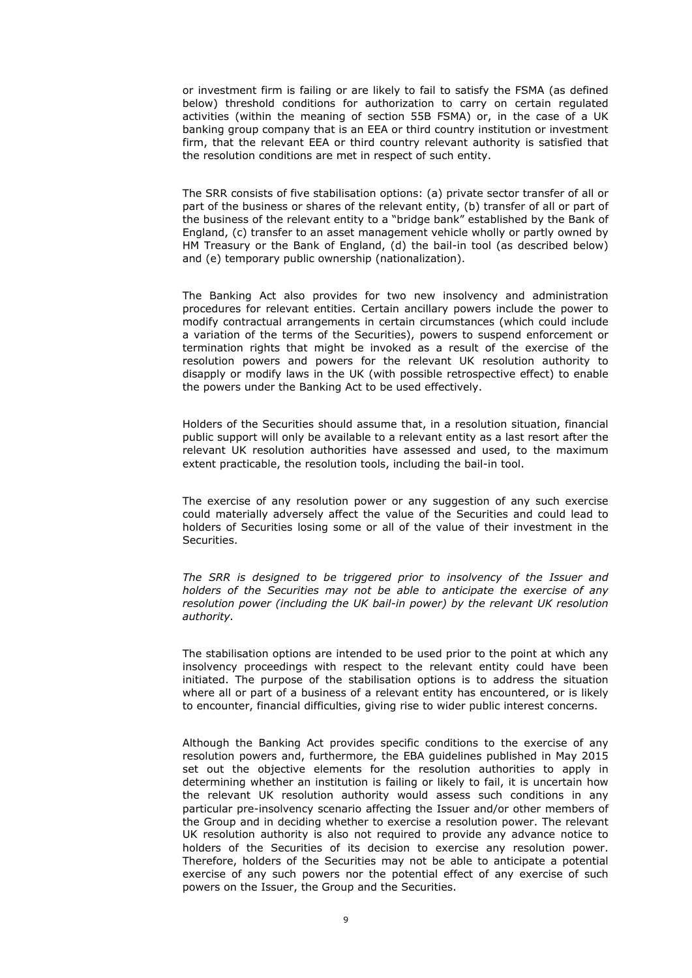or investment firm is failing or are likely to fail to satisfy the FSMA (as defined below) threshold conditions for authorization to carry on certain regulated activities (within the meaning of section 55B FSMA) or, in the case of a UK banking group company that is an EEA or third country institution or investment firm, that the relevant EEA or third country relevant authority is satisfied that the resolution conditions are met in respect of such entity.

The SRR consists of five stabilisation options: (a) private sector transfer of all or part of the business or shares of the relevant entity, (b) transfer of all or part of the business of the relevant entity to a "bridge bank" established by the Bank of England, (c) transfer to an asset management vehicle wholly or partly owned by HM Treasury or the Bank of England, (d) the bail-in tool (as described below) and (e) temporary public ownership (nationalization).

The Banking Act also provides for two new insolvency and administration procedures for relevant entities. Certain ancillary powers include the power to modify contractual arrangements in certain circumstances (which could include a variation of the terms of the Securities), powers to suspend enforcement or termination rights that might be invoked as a result of the exercise of the resolution powers and powers for the relevant UK resolution authority to disapply or modify laws in the UK (with possible retrospective effect) to enable the powers under the Banking Act to be used effectively.

Holders of the Securities should assume that, in a resolution situation, financial public support will only be available to a relevant entity as a last resort after the relevant UK resolution authorities have assessed and used, to the maximum extent practicable, the resolution tools, including the bail-in tool.

The exercise of any resolution power or any suggestion of any such exercise could materially adversely affect the value of the Securities and could lead to holders of Securities losing some or all of the value of their investment in the Securities.

*The SRR is designed to be triggered prior to insolvency of the Issuer and holders of the Securities may not be able to anticipate the exercise of any resolution power (including the UK bail-in power) by the relevant UK resolution authority.*

The stabilisation options are intended to be used prior to the point at which any insolvency proceedings with respect to the relevant entity could have been initiated. The purpose of the stabilisation options is to address the situation where all or part of a business of a relevant entity has encountered, or is likely to encounter, financial difficulties, giving rise to wider public interest concerns.

Although the Banking Act provides specific conditions to the exercise of any resolution powers and, furthermore, the EBA guidelines published in May 2015 set out the objective elements for the resolution authorities to apply in determining whether an institution is failing or likely to fail, it is uncertain how the relevant UK resolution authority would assess such conditions in any particular pre-insolvency scenario affecting the Issuer and/or other members of the Group and in deciding whether to exercise a resolution power. The relevant UK resolution authority is also not required to provide any advance notice to holders of the Securities of its decision to exercise any resolution power. Therefore, holders of the Securities may not be able to anticipate a potential exercise of any such powers nor the potential effect of any exercise of such powers on the Issuer, the Group and the Securities.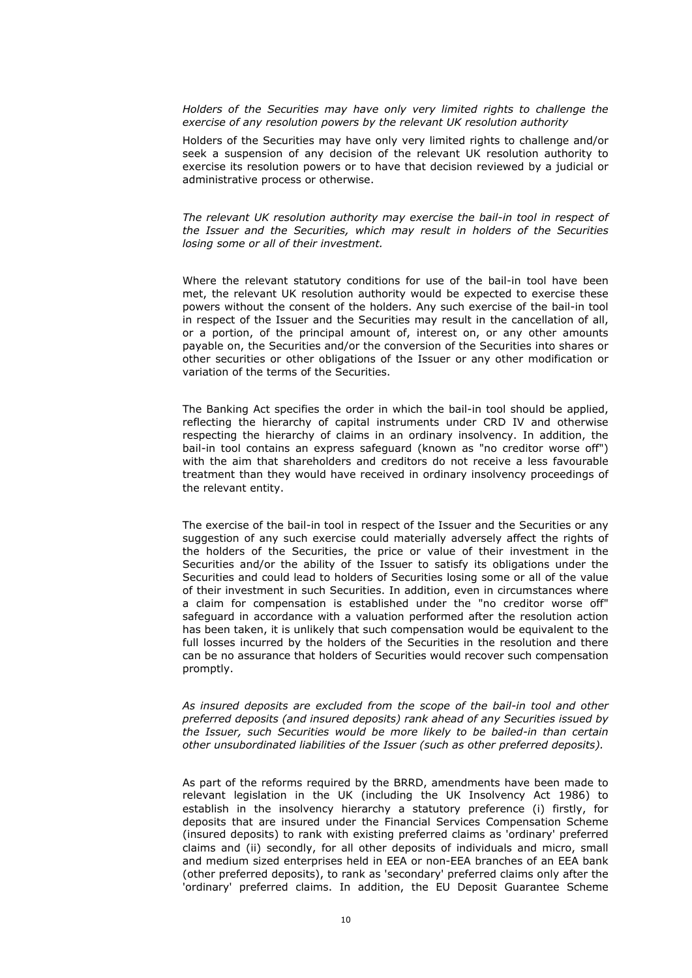*Holders of the Securities may have only very limited rights to challenge the exercise of any resolution powers by the relevant UK resolution authority* 

Holders of the Securities may have only very limited rights to challenge and/or seek a suspension of any decision of the relevant UK resolution authority to exercise its resolution powers or to have that decision reviewed by a judicial or administrative process or otherwise.

*The relevant UK resolution authority may exercise the bail-in tool in respect of the Issuer and the Securities, which may result in holders of the Securities losing some or all of their investment.*

Where the relevant statutory conditions for use of the bail-in tool have been met, the relevant UK resolution authority would be expected to exercise these powers without the consent of the holders. Any such exercise of the bail-in tool in respect of the Issuer and the Securities may result in the cancellation of all, or a portion, of the principal amount of, interest on, or any other amounts payable on, the Securities and/or the conversion of the Securities into shares or other securities or other obligations of the Issuer or any other modification or variation of the terms of the Securities.

The Banking Act specifies the order in which the bail-in tool should be applied, reflecting the hierarchy of capital instruments under CRD IV and otherwise respecting the hierarchy of claims in an ordinary insolvency. In addition, the bail-in tool contains an express safeguard (known as "no creditor worse off") with the aim that shareholders and creditors do not receive a less favourable treatment than they would have received in ordinary insolvency proceedings of the relevant entity.

The exercise of the bail-in tool in respect of the Issuer and the Securities or any suggestion of any such exercise could materially adversely affect the rights of the holders of the Securities, the price or value of their investment in the Securities and/or the ability of the Issuer to satisfy its obligations under the Securities and could lead to holders of Securities losing some or all of the value of their investment in such Securities. In addition, even in circumstances where a claim for compensation is established under the "no creditor worse off" safeguard in accordance with a valuation performed after the resolution action has been taken, it is unlikely that such compensation would be equivalent to the full losses incurred by the holders of the Securities in the resolution and there can be no assurance that holders of Securities would recover such compensation promptly.

*As insured deposits are excluded from the scope of the bail-in tool and other preferred deposits (and insured deposits) rank ahead of any Securities issued by the Issuer, such Securities would be more likely to be bailed-in than certain other unsubordinated liabilities of the Issuer (such as other preferred deposits).*

As part of the reforms required by the BRRD, amendments have been made to relevant legislation in the UK (including the UK Insolvency Act 1986) to establish in the insolvency hierarchy a statutory preference (i) firstly, for deposits that are insured under the Financial Services Compensation Scheme (insured deposits) to rank with existing preferred claims as 'ordinary' preferred claims and (ii) secondly, for all other deposits of individuals and micro, small and medium sized enterprises held in EEA or non-EEA branches of an EEA bank (other preferred deposits), to rank as 'secondary' preferred claims only after the 'ordinary' preferred claims. In addition, the EU Deposit Guarantee Scheme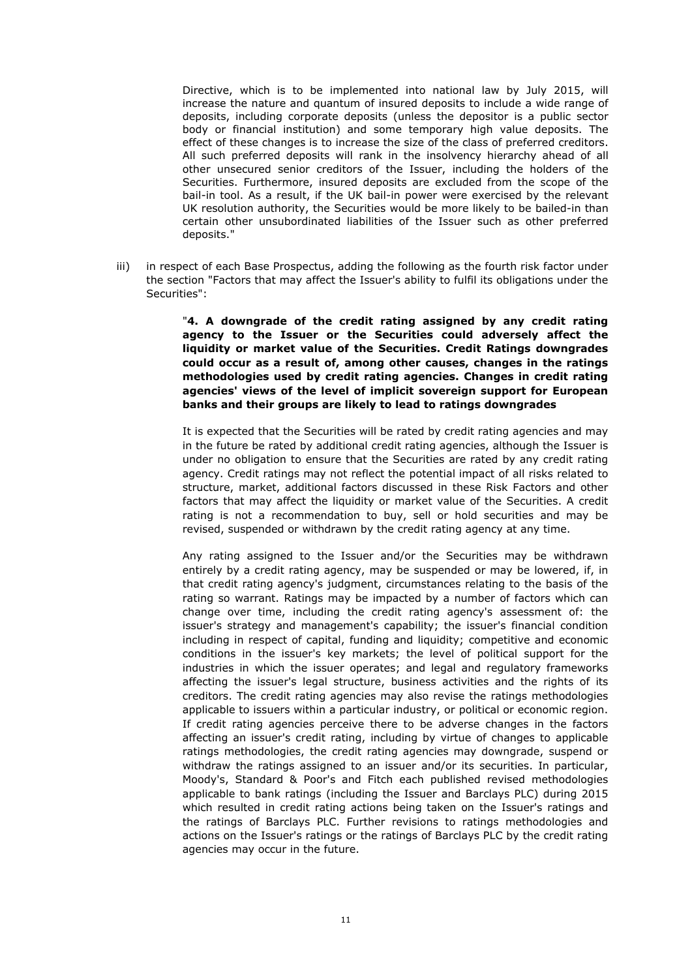Directive, which is to be implemented into national law by July 2015, will increase the nature and quantum of insured deposits to include a wide range of deposits, including corporate deposits (unless the depositor is a public sector body or financial institution) and some temporary high value deposits. The effect of these changes is to increase the size of the class of preferred creditors. All such preferred deposits will rank in the insolvency hierarchy ahead of all other unsecured senior creditors of the Issuer, including the holders of the Securities. Furthermore, insured deposits are excluded from the scope of the bail-in tool. As a result, if the UK bail-in power were exercised by the relevant UK resolution authority, the Securities would be more likely to be bailed-in than certain other unsubordinated liabilities of the Issuer such as other preferred deposits."

iii) in respect of each Base Prospectus, adding the following as the fourth risk factor under the section "Factors that may affect the Issuer's ability to fulfil its obligations under the Securities":

> "**4. A downgrade of the credit rating assigned by any credit rating agency to the Issuer or the Securities could adversely affect the liquidity or market value of the Securities. Credit Ratings downgrades could occur as a result of, among other causes, changes in the ratings methodologies used by credit rating agencies. Changes in credit rating agencies' views of the level of implicit sovereign support for European banks and their groups are likely to lead to ratings downgrades**

> It is expected that the Securities will be rated by credit rating agencies and may in the future be rated by additional credit rating agencies, although the Issuer is under no obligation to ensure that the Securities are rated by any credit rating agency. Credit ratings may not reflect the potential impact of all risks related to structure, market, additional factors discussed in these Risk Factors and other factors that may affect the liquidity or market value of the Securities. A credit rating is not a recommendation to buy, sell or hold securities and may be revised, suspended or withdrawn by the credit rating agency at any time.

> Any rating assigned to the Issuer and/or the Securities may be withdrawn entirely by a credit rating agency, may be suspended or may be lowered, if, in that credit rating agency's judgment, circumstances relating to the basis of the rating so warrant. Ratings may be impacted by a number of factors which can change over time, including the credit rating agency's assessment of: the issuer's strategy and management's capability; the issuer's financial condition including in respect of capital, funding and liquidity; competitive and economic conditions in the issuer's key markets; the level of political support for the industries in which the issuer operates; and legal and regulatory frameworks affecting the issuer's legal structure, business activities and the rights of its creditors. The credit rating agencies may also revise the ratings methodologies applicable to issuers within a particular industry, or political or economic region. If credit rating agencies perceive there to be adverse changes in the factors affecting an issuer's credit rating, including by virtue of changes to applicable ratings methodologies, the credit rating agencies may downgrade, suspend or withdraw the ratings assigned to an issuer and/or its securities. In particular, Moody's, Standard & Poor's and Fitch each published revised methodologies applicable to bank ratings (including the Issuer and Barclays PLC) during 2015 which resulted in credit rating actions being taken on the Issuer's ratings and the ratings of Barclays PLC. Further revisions to ratings methodologies and actions on the Issuer's ratings or the ratings of Barclays PLC by the credit rating agencies may occur in the future.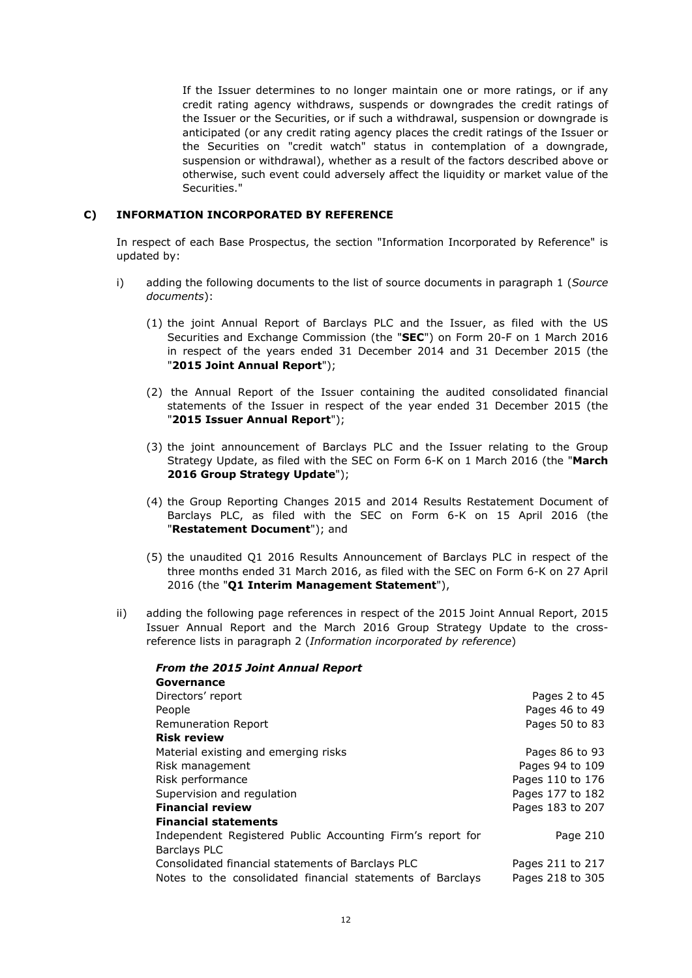If the Issuer determines to no longer maintain one or more ratings, or if any credit rating agency withdraws, suspends or downgrades the credit ratings of the Issuer or the Securities, or if such a withdrawal, suspension or downgrade is anticipated (or any credit rating agency places the credit ratings of the Issuer or the Securities on "credit watch" status in contemplation of a downgrade, suspension or withdrawal), whether as a result of the factors described above or otherwise, such event could adversely affect the liquidity or market value of the Securities."

## **C) INFORMATION INCORPORATED BY REFERENCE**

*From the 2015 Joint Annual Report*

In respect of each Base Prospectus, the section "Information Incorporated by Reference" is updated by:

- i) adding the following documents to the list of source documents in paragraph 1 (*Source documents*):
	- (1) the joint Annual Report of Barclays PLC and the Issuer, as filed with the US Securities and Exchange Commission (the "**SEC**") on Form 20-F on 1 March 2016 in respect of the years ended 31 December 2014 and 31 December 2015 (the "**2015 Joint Annual Report**");
	- (2) the Annual Report of the Issuer containing the audited consolidated financial statements of the Issuer in respect of the year ended 31 December 2015 (the "**2015 Issuer Annual Report**");
	- (3) the joint announcement of Barclays PLC and the Issuer relating to the Group Strategy Update, as filed with the SEC on Form 6-K on 1 March 2016 (the "**March 2016 Group Strategy Update**");
	- (4) the Group Reporting Changes 2015 and 2014 Results Restatement Document of Barclays PLC, as filed with the SEC on Form 6-K on 15 April 2016 (the "**Restatement Document**"); and
	- (5) the unaudited Q1 2016 Results Announcement of Barclays PLC in respect of the three months ended 31 March 2016, as filed with the SEC on Form 6-K on 27 April 2016 (the "**Q1 Interim Management Statement**"),
- ii) adding the following page references in respect of the 2015 Joint Annual Report, 2015 Issuer Annual Report and the March 2016 Group Strategy Update to the crossreference lists in paragraph 2 (*Information incorporated by reference*)

| Pages 2 to 45    |
|------------------|
| Pages 46 to 49   |
| Pages 50 to 83   |
|                  |
| Pages 86 to 93   |
| Pages 94 to 109  |
| Pages 110 to 176 |
| Pages 177 to 182 |
| Pages 183 to 207 |
|                  |
| Page 210         |
|                  |
| Pages 211 to 217 |
| Pages 218 to 305 |
|                  |

## 12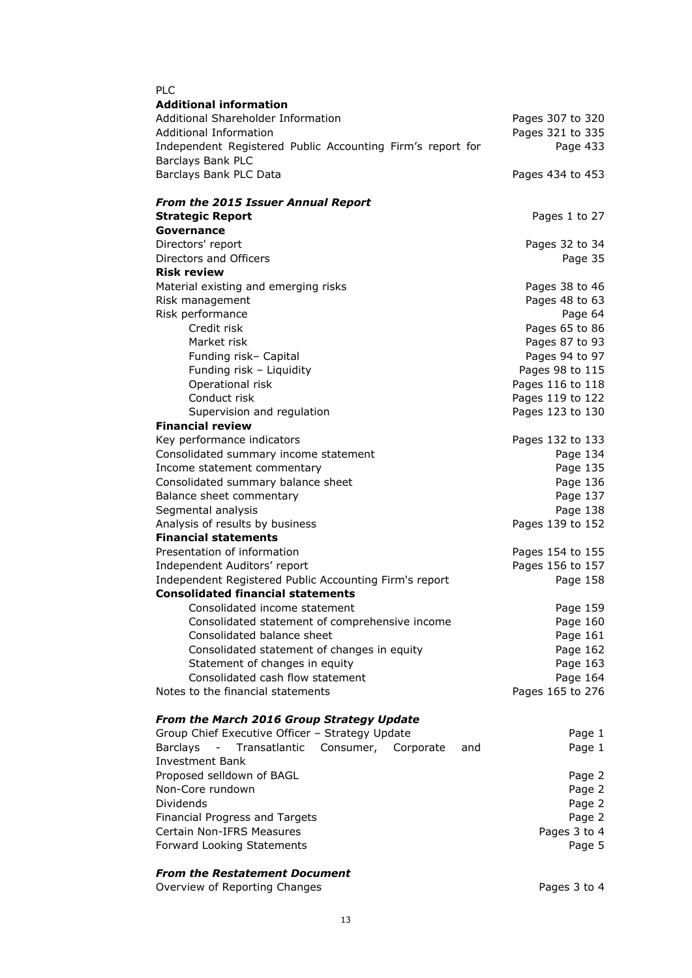| <b>PLC</b>                                                        |                  |
|-------------------------------------------------------------------|------------------|
| <b>Additional information</b>                                     |                  |
| Additional Shareholder Information                                | Pages 307 to 320 |
| <b>Additional Information</b>                                     | Pages 321 to 335 |
| Independent Registered Public Accounting Firm's report for        | Page 433         |
| Barclays Bank PLC                                                 |                  |
| Barclays Bank PLC Data                                            | Pages 434 to 453 |
| <b>From the 2015 Issuer Annual Report</b>                         |                  |
| <b>Strategic Report</b>                                           | Pages 1 to 27    |
| Governance                                                        |                  |
| Directors' report                                                 | Pages 32 to 34   |
| Directors and Officers                                            | Page 35          |
| <b>Risk review</b>                                                |                  |
| Material existing and emerging risks                              | Pages 38 to 46   |
| Risk management                                                   | Pages 48 to 63   |
| Risk performance                                                  | Page 64          |
| Credit risk                                                       | Pages 65 to 86   |
| Market risk                                                       | Pages 87 to 93   |
| Funding risk- Capital                                             | Pages 94 to 97   |
| Funding risk - Liquidity                                          | Pages 98 to 115  |
|                                                                   |                  |
| Operational risk<br>Conduct risk                                  | Pages 116 to 118 |
|                                                                   | Pages 119 to 122 |
| Supervision and regulation<br><b>Financial review</b>             | Pages 123 to 130 |
|                                                                   |                  |
| Key performance indicators                                        | Pages 132 to 133 |
| Consolidated summary income statement                             | Page 134         |
| Income statement commentary                                       | Page 135         |
| Consolidated summary balance sheet<br>Balance sheet commentary    | Page 136         |
|                                                                   | Page 137         |
| Segmental analysis<br>Analysis of results by business             | Page 138         |
| <b>Financial statements</b>                                       | Pages 139 to 152 |
| Presentation of information                                       | Pages 154 to 155 |
| Independent Auditors' report                                      | Pages 156 to 157 |
| Independent Registered Public Accounting Firm's report            | Page 158         |
| <b>Consolidated financial statements</b>                          |                  |
| Consolidated income statement                                     | Page 159         |
| Consolidated statement of comprehensive income                    | Page 160         |
| Consolidated balance sheet                                        | Page 161         |
| Consolidated statement of changes in equity                       | Page 162         |
| Statement of changes in equity                                    | Page 163         |
| Consolidated cash flow statement                                  | Page 164         |
| Notes to the financial statements                                 | Pages 165 to 276 |
|                                                                   |                  |
| From the March 2016 Group Strategy Update                         |                  |
| Group Chief Executive Officer - Strategy Update                   | Page 1           |
| Transatlantic<br><b>Barclays</b><br>Consumer,<br>Corporate<br>and | Page 1           |
| <b>Investment Bank</b>                                            |                  |
| Proposed selldown of BAGL                                         | Page 2           |
| Non-Core rundown                                                  | Page 2           |
| Dividends                                                         | Page 2           |
| Financial Progress and Targets                                    | Page 2           |
| Certain Non-IFRS Measures                                         | Pages 3 to 4     |
| Forward Looking Statements                                        | Page 5           |

## *From the Restatement Document*

Overview of Reporting Changes<br>
Overview of Reporting Changes<br>
Pages 3 to 4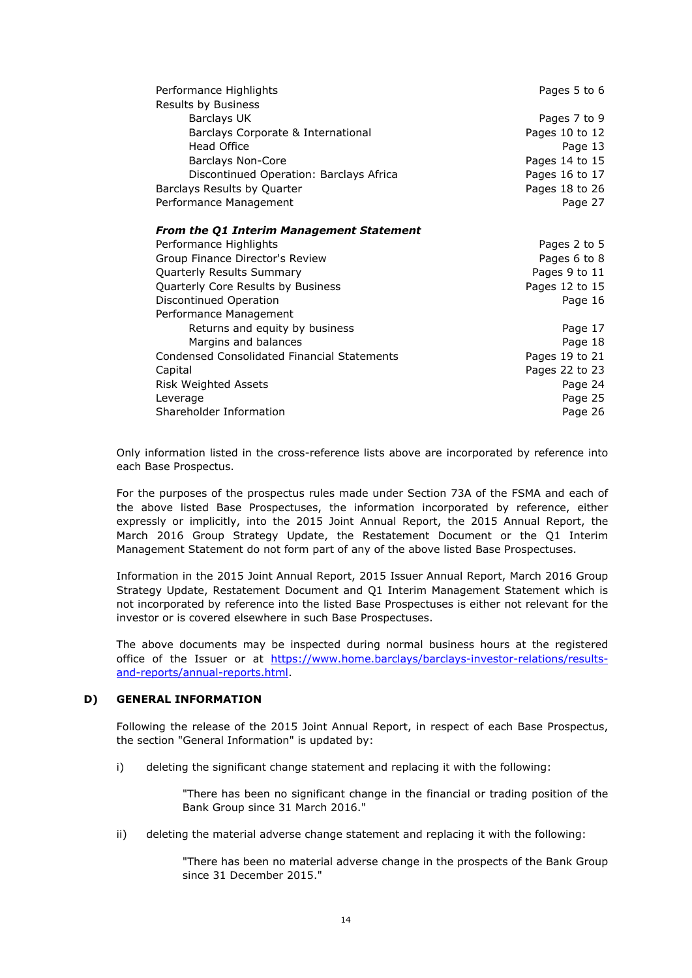| Performance Highlights                          | Pages 5 to 6   |
|-------------------------------------------------|----------------|
| Results by Business                             |                |
| Barclays UK                                     | Pages 7 to 9   |
| Barclays Corporate & International              | Pages 10 to 12 |
| Head Office                                     | Page 13        |
| Barclays Non-Core                               | Pages 14 to 15 |
| Discontinued Operation: Barclays Africa         | Pages 16 to 17 |
| Barclays Results by Quarter                     | Pages 18 to 26 |
| Performance Management                          | Page 27        |
| <b>From the Q1 Interim Management Statement</b> |                |
| Performance Highlights                          | Pages 2 to 5   |
| Group Finance Director's Review                 | Pages 6 to 8   |
| Quarterly Results Summary                       | Pages 9 to 11  |
| Quarterly Core Results by Business              | Pages 12 to 15 |
| Discontinued Operation                          | Page 16        |
| Performance Management                          |                |
| Returns and equity by business                  | Page 17        |
| Margins and balances                            | Page 18        |
| Condensed Consolidated Financial Statements     | Pages 19 to 21 |
| Capital                                         | Pages 22 to 23 |
| Risk Weighted Assets                            | Page 24        |
| Leverage                                        | Page 25        |
| Shareholder Information                         | Page 26        |

Only information listed in the cross-reference lists above are incorporated by reference into each Base Prospectus.

For the purposes of the prospectus rules made under Section 73A of the FSMA and each of the above listed Base Prospectuses, the information incorporated by reference, either expressly or implicitly, into the 2015 Joint Annual Report, the 2015 Annual Report, the March 2016 Group Strategy Update, the Restatement Document or the Q1 Interim Management Statement do not form part of any of the above listed Base Prospectuses.

Information in the 2015 Joint Annual Report, 2015 Issuer Annual Report, March 2016 Group Strategy Update, Restatement Document and Q1 Interim Management Statement which is not incorporated by reference into the listed Base Prospectuses is either not relevant for the investor or is covered elsewhere in such Base Prospectuses.

The above documents may be inspected during normal business hours at the registered office of the Issuer or at https://www.home.barclays/barclays-investor-relations/resultsand-reports/annual-reports.html.

## **D) GENERAL INFORMATION**

Following the release of the 2015 Joint Annual Report, in respect of each Base Prospectus, the section "General Information" is updated by:

i) deleting the significant change statement and replacing it with the following:

"There has been no significant change in the financial or trading position of the Bank Group since 31 March 2016."

ii) deleting the material adverse change statement and replacing it with the following:

"There has been no material adverse change in the prospects of the Bank Group since 31 December 2015."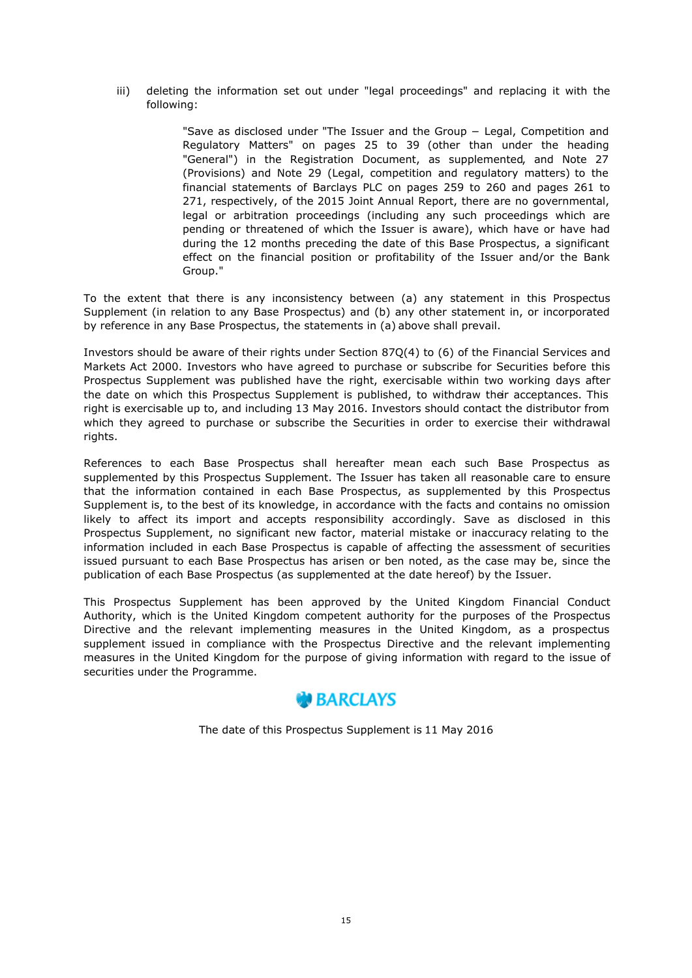iii) deleting the information set out under "legal proceedings" and replacing it with the following:

> "Save as disclosed under "The Issuer and the Group − Legal, Competition and Regulatory Matters" on pages 25 to 39 (other than under the heading "General") in the Registration Document, as supplemented, and Note 27 (Provisions) and Note 29 (Legal, competition and regulatory matters) to the financial statements of Barclays PLC on pages 259 to 260 and pages 261 to 271, respectively, of the 2015 Joint Annual Report, there are no governmental, legal or arbitration proceedings (including any such proceedings which are pending or threatened of which the Issuer is aware), which have or have had during the 12 months preceding the date of this Base Prospectus, a significant effect on the financial position or profitability of the Issuer and/or the Bank Group."

To the extent that there is any inconsistency between (a) any statement in this Prospectus Supplement (in relation to any Base Prospectus) and (b) any other statement in, or incorporated by reference in any Base Prospectus, the statements in (a) above shall prevail.

Investors should be aware of their rights under Section 87Q(4) to (6) of the Financial Services and Markets Act 2000. Investors who have agreed to purchase or subscribe for Securities before this Prospectus Supplement was published have the right, exercisable within two working days after the date on which this Prospectus Supplement is published, to withdraw their acceptances. This right is exercisable up to, and including 13 May 2016. Investors should contact the distributor from which they agreed to purchase or subscribe the Securities in order to exercise their withdrawal rights.

References to each Base Prospectus shall hereafter mean each such Base Prospectus as supplemented by this Prospectus Supplement. The Issuer has taken all reasonable care to ensure that the information contained in each Base Prospectus, as supplemented by this Prospectus Supplement is, to the best of its knowledge, in accordance with the facts and contains no omission likely to affect its import and accepts responsibility accordingly. Save as disclosed in this Prospectus Supplement, no significant new factor, material mistake or inaccuracy relating to the information included in each Base Prospectus is capable of affecting the assessment of securities issued pursuant to each Base Prospectus has arisen or ben noted, as the case may be, since the publication of each Base Prospectus (as supplemented at the date hereof) by the Issuer.

This Prospectus Supplement has been approved by the United Kingdom Financial Conduct Authority, which is the United Kingdom competent authority for the purposes of the Prospectus Directive and the relevant implementing measures in the United Kingdom, as a prospectus supplement issued in compliance with the Prospectus Directive and the relevant implementing measures in the United Kingdom for the purpose of giving information with regard to the issue of securities under the Programme.

# **BARCLAYS**

The date of this Prospectus Supplement is 11 May 2016